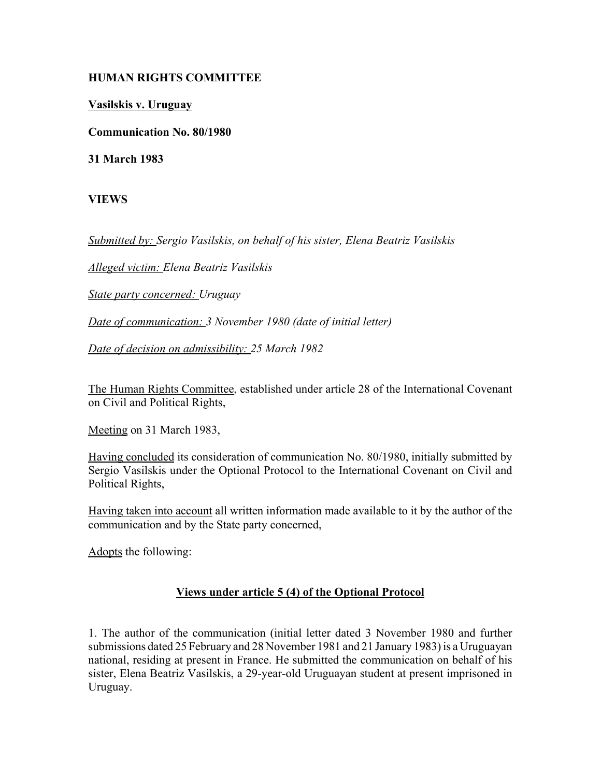## **HUMAN RIGHTS COMMITTEE**

**Vasilskis v. Uruguay**

**Communication No. 80/1980**

**31 March 1983**

**VIEWS**

*Submitted by: Sergio Vasilskis, on behalf of his sister, Elena Beatriz Vasilskis* 

*Alleged victim: Elena Beatriz Vasilskis* 

*State party concerned: Uruguay* 

*Date of communication: 3 November 1980 (date of initial letter)* 

*Date of decision on admissibility: 25 March 1982*

The Human Rights Committee, established under article 28 of the International Covenant on Civil and Political Rights,

Meeting on 31 March 1983,

Having concluded its consideration of communication No. 80/1980, initially submitted by Sergio Vasilskis under the Optional Protocol to the International Covenant on Civil and Political Rights,

Having taken into account all written information made available to it by the author of the communication and by the State party concerned,

Adopts the following:

## **Views under article 5 (4) of the Optional Protocol**

1. The author of the communication (initial letter dated 3 November 1980 and further submissions dated 25 February and 28 November 1981 and 21 January 1983) is a Uruguayan national, residing at present in France. He submitted the communication on behalf of his sister, Elena Beatriz Vasilskis, a 29-year-old Uruguayan student at present imprisoned in Uruguay.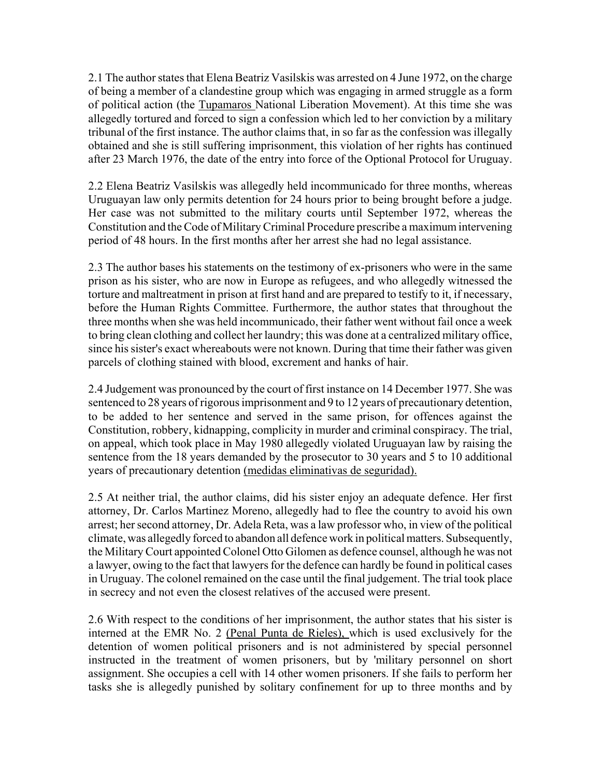2.1 The author states that Elena Beatriz Vasilskis was arrested on 4 June 1972, on the charge of being a member of a clandestine group which was engaging in armed struggle as a form of political action (the Tupamaros National Liberation Movement). At this time she was allegedly tortured and forced to sign a confession which led to her conviction by a military tribunal of the first instance. The author claims that, in so far as the confession was illegally obtained and she is still suffering imprisonment, this violation of her rights has continued after 23 March 1976, the date of the entry into force of the Optional Protocol for Uruguay.

2.2 Elena Beatriz Vasilskis was allegedly held incommunicado for three months, whereas Uruguayan law only permits detention for 24 hours prior to being brought before a judge. Her case was not submitted to the military courts until September 1972, whereas the Constitution and the Code of Military Criminal Procedure prescribe a maximum intervening period of 48 hours. In the first months after her arrest she had no legal assistance.

2.3 The author bases his statements on the testimony of ex-prisoners who were in the same prison as his sister, who are now in Europe as refugees, and who allegedly witnessed the torture and maltreatment in prison at first hand and are prepared to testify to it, if necessary, before the Human Rights Committee. Furthermore, the author states that throughout the three months when she was held incommunicado, their father went without fail once a week to bring clean clothing and collect her laundry; this was done at a centralized military office, since his sister's exact whereabouts were not known. During that time their father was given parcels of clothing stained with blood, excrement and hanks of hair.

2.4 Judgement was pronounced by the court of first instance on 14 December 1977. She was sentenced to 28 years of rigorous imprisonment and 9 to 12 years of precautionary detention, to be added to her sentence and served in the same prison, for offences against the Constitution, robbery, kidnapping, complicity in murder and criminal conspiracy. The trial, on appeal, which took place in May 1980 allegedly violated Uruguayan law by raising the sentence from the 18 years demanded by the prosecutor to 30 years and 5 to 10 additional years of precautionary detention (medidas eliminativas de seguridad).

2.5 At neither trial, the author claims, did his sister enjoy an adequate defence. Her first attorney, Dr. Carlos Martinez Moreno, allegedly had to flee the country to avoid his own arrest; her second attorney, Dr. Adela Reta, was a law professor who, in view of the political climate, was allegedly forced to abandon all defence work in political matters. Subsequently, the Military Court appointed Colonel Otto Gilomen as defence counsel, although he was not a lawyer, owing to the fact that lawyers for the defence can hardly be found in political cases in Uruguay. The colonel remained on the case until the final judgement. The trial took place in secrecy and not even the closest relatives of the accused were present.

2.6 With respect to the conditions of her imprisonment, the author states that his sister is interned at the EMR No. 2 (Penal Punta de Rieles), which is used exclusively for the detention of women political prisoners and is not administered by special personnel instructed in the treatment of women prisoners, but by 'military personnel on short assignment. She occupies a cell with 14 other women prisoners. If she fails to perform her tasks she is allegedly punished by solitary confinement for up to three months and by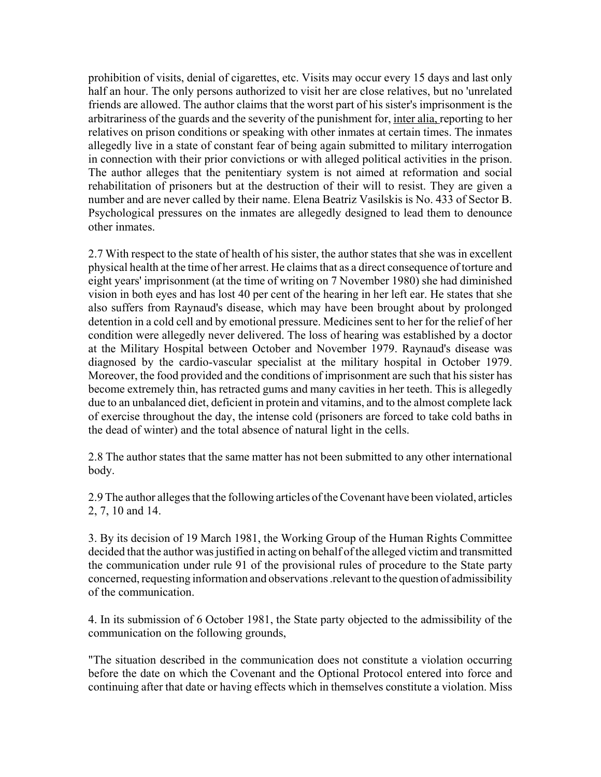prohibition of visits, denial of cigarettes, etc. Visits may occur every 15 days and last only half an hour. The only persons authorized to visit her are close relatives, but no 'unrelated friends are allowed. The author claims that the worst part of his sister's imprisonment is the arbitrariness of the guards and the severity of the punishment for, inter alia, reporting to her relatives on prison conditions or speaking with other inmates at certain times. The inmates allegedly live in a state of constant fear of being again submitted to military interrogation in connection with their prior convictions or with alleged political activities in the prison. The author alleges that the penitentiary system is not aimed at reformation and social rehabilitation of prisoners but at the destruction of their will to resist. They are given a number and are never called by their name. Elena Beatriz Vasilskis is No. 433 of Sector B. Psychological pressures on the inmates are allegedly designed to lead them to denounce other inmates.

2.7 With respect to the state of health of his sister, the author states that she was in excellent physical health at the time of her arrest. He claims that as a direct consequence of torture and eight years' imprisonment (at the time of writing on 7 November 1980) she had diminished vision in both eyes and has lost 40 per cent of the hearing in her left ear. He states that she also suffers from Raynaud's disease, which may have been brought about by prolonged detention in a cold cell and by emotional pressure. Medicines sent to her for the relief of her condition were allegedly never delivered. The loss of hearing was established by a doctor at the Military Hospital between October and November 1979. Raynaud's disease was diagnosed by the cardio-vascular specialist at the military hospital in October 1979. Moreover, the food provided and the conditions of imprisonment are such that his sister has become extremely thin, has retracted gums and many cavities in her teeth. This is allegedly due to an unbalanced diet, deficient in protein and vitamins, and to the almost complete lack of exercise throughout the day, the intense cold (prisoners are forced to take cold baths in the dead of winter) and the total absence of natural light in the cells.

2.8 The author states that the same matter has not been submitted to any other international body.

2.9 The author alleges that the following articles of the Covenant have been violated, articles 2, 7, 10 and 14.

3. By its decision of 19 March 1981, the Working Group of the Human Rights Committee decided that the author was justified in acting on behalf of the alleged victim and transmitted the communication under rule 91 of the provisional rules of procedure to the State party concerned, requesting information and observations .relevant to the question of admissibility of the communication.

4. In its submission of 6 October 1981, the State party objected to the admissibility of the communication on the following grounds,

"The situation described in the communication does not constitute a violation occurring before the date on which the Covenant and the Optional Protocol entered into force and continuing after that date or having effects which in themselves constitute a violation. Miss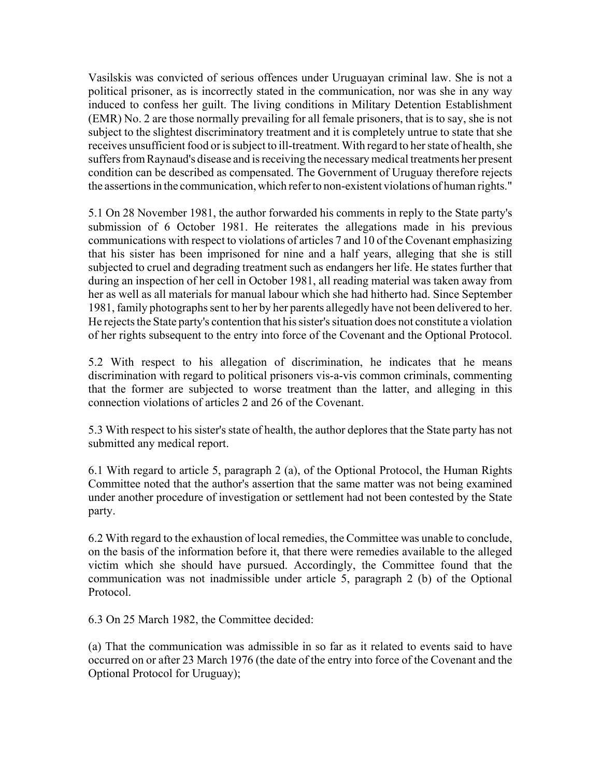Vasilskis was convicted of serious offences under Uruguayan criminal law. She is not a political prisoner, as is incorrectly stated in the communication, nor was she in any way induced to confess her guilt. The living conditions in Military Detention Establishment (EMR) No. 2 are those normally prevailing for all female prisoners, that is to say, she is not subject to the slightest discriminatory treatment and it is completely untrue to state that she receives unsufficient food or is subject to ill-treatment. With regard to her state of health, she suffers from Raynaud's disease and is receiving the necessary medical treatments her present condition can be described as compensated. The Government of Uruguay therefore rejects the assertions in the communication, which refer to non-existent violations of human rights."

5.1 On 28 November 1981, the author forwarded his comments in reply to the State party's submission of 6 October 1981. He reiterates the allegations made in his previous communications with respect to violations of articles 7 and 10 of the Covenant emphasizing that his sister has been imprisoned for nine and a half years, alleging that she is still subjected to cruel and degrading treatment such as endangers her life. He states further that during an inspection of her cell in October 1981, all reading material was taken away from her as well as all materials for manual labour which she had hitherto had. Since September 1981, family photographs sent to her by her parents allegedly have not been delivered to her. He rejects the State party's contention that his sister's situation does not constitute a violation of her rights subsequent to the entry into force of the Covenant and the Optional Protocol.

5.2 With respect to his allegation of discrimination, he indicates that he means discrimination with regard to political prisoners vis-a-vis common criminals, commenting that the former are subjected to worse treatment than the latter, and alleging in this connection violations of articles 2 and 26 of the Covenant.

5.3 With respect to his sister's state of health, the author deplores that the State party has not submitted any medical report.

6.1 With regard to article 5, paragraph 2 (a), of the Optional Protocol, the Human Rights Committee noted that the author's assertion that the same matter was not being examined under another procedure of investigation or settlement had not been contested by the State party.

6.2 With regard to the exhaustion of local remedies, the Committee was unable to conclude, on the basis of the information before it, that there were remedies available to the alleged victim which she should have pursued. Accordingly, the Committee found that the communication was not inadmissible under article 5, paragraph 2 (b) of the Optional Protocol.

6.3 On 25 March 1982, the Committee decided:

(a) That the communication was admissible in so far as it related to events said to have occurred on or after 23 March 1976 (the date of the entry into force of the Covenant and the Optional Protocol for Uruguay);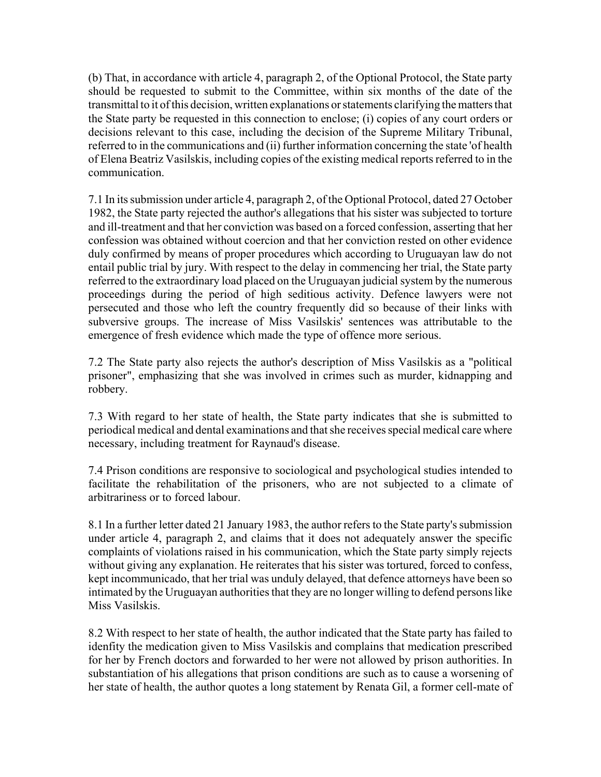(b) That, in accordance with article 4, paragraph 2, of the Optional Protocol, the State party should be requested to submit to the Committee, within six months of the date of the transmittal to it of this decision, written explanations or statements clarifying the matters that the State party be requested in this connection to enclose; (i) copies of any court orders or decisions relevant to this case, including the decision of the Supreme Military Tribunal, referred to in the communications and (ii) further information concerning the state 'of health of Elena Beatriz Vasilskis, including copies of the existing medical reports referred to in the communication.

7.1 In its submission under article 4, paragraph 2, of the Optional Protocol, dated 27 October 1982, the State party rejected the author's allegations that his sister was subjected to torture and ill-treatment and that her conviction was based on a forced confession, asserting that her confession was obtained without coercion and that her conviction rested on other evidence duly confirmed by means of proper procedures which according to Uruguayan law do not entail public trial by jury. With respect to the delay in commencing her trial, the State party referred to the extraordinary load placed on the Uruguayan judicial system by the numerous proceedings during the period of high seditious activity. Defence lawyers were not persecuted and those who left the country frequently did so because of their links with subversive groups. The increase of Miss Vasilskis' sentences was attributable to the emergence of fresh evidence which made the type of offence more serious.

7.2 The State party also rejects the author's description of Miss Vasilskis as a "political prisoner", emphasizing that she was involved in crimes such as murder, kidnapping and robbery.

7.3 With regard to her state of health, the State party indicates that she is submitted to periodical medical and dental examinations and that she receives special medical care where necessary, including treatment for Raynaud's disease.

7.4 Prison conditions are responsive to sociological and psychological studies intended to facilitate the rehabilitation of the prisoners, who are not subjected to a climate of arbitrariness or to forced labour.

8.1 In a further letter dated 21 January 1983, the author refers to the State party's submission under article 4, paragraph 2, and claims that it does not adequately answer the specific complaints of violations raised in his communication, which the State party simply rejects without giving any explanation. He reiterates that his sister was tortured, forced to confess, kept incommunicado, that her trial was unduly delayed, that defence attorneys have been so intimated by the Uruguayan authorities that they are no longer willing to defend persons like Miss Vasilskis.

8.2 With respect to her state of health, the author indicated that the State party has failed to idenfity the medication given to Miss Vasilskis and complains that medication prescribed for her by French doctors and forwarded to her were not allowed by prison authorities. In substantiation of his allegations that prison conditions are such as to cause a worsening of her state of health, the author quotes a long statement by Renata Gil, a former cell-mate of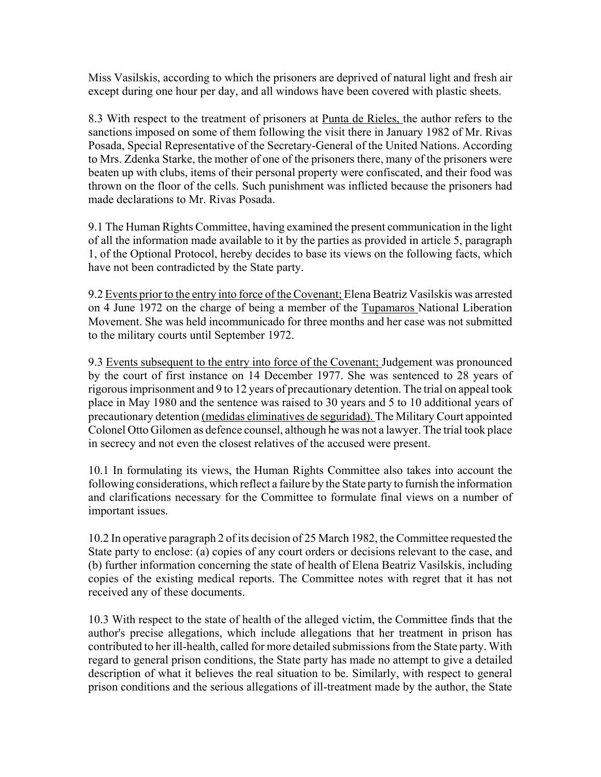Miss Vasilskis, according to which the prisoners are deprived of natural light and fresh air except during one hour per day, and all windows have been covered with plastic sheets.

8.3 With respect to the treatment of prisoners at Punta de Rieles, the author refers to the sanctions imposed on some of them following the visit there in January 1982 of Mr. Rivas Posada, Special Representative of the Secretary-General of the United Nations. According to Mrs. Zdenka Starke, the mother of one of the prisoners there, many of the prisoners were beaten up with clubs, items of their personal property were confiscated, and their food was thrown on the floor of the cells. Such punishment was inflicted because the prisoners had made declarations to Mr. Rivas Posada.

9.1 The Human Rights Committee, having examined the present communication in the light of all the information made available to it by the parties as provided in article 5, paragraph 1, of the Optional Protocol, hereby decides to base its views on the following facts, which have not been contradicted by the State party.

9.2 Events prior to the entry into force of the Covenant; Elena Beatriz Vasilskis was arrested on 4 June 1972 on the charge of being a member of the Tupamaros National Liberation Movement. She was held incommunicado for three months and her case was not submitted to the military courts until September 1972.

9.3 Events subsequent to the entry into force of the Covenant; Judgement was pronounced by the court of first instance on 14 December 1977. She was sentenced to 28 years of rigorous imprisonment and 9 to 12 years of precautionary detention. The trial on appeal took place in May 1980 and the sentence was raised to 30 years and 5 to 10 additional years of precautionary detention (medidas eliminatives de seguridad). The Military Court appointed Colonel Otto Gilomen as defence counsel, although he was not a lawyer. The trial took place in secrecy and not even the closest relatives of the accused were present.

10.1 In formulating its views, the Human Rights Committee also takes into account the following considerations, which reflect a failure by the State party to furnish the information and clarifications necessary for the Committee to formulate final views on a number of important issues.

10.2 In operative paragraph 2 of its decision of 25 March 1982, the Committee requested the State party to enclose: (a) copies of any court orders or decisions relevant to the case, and (b) further information concerning the state of health of Elena Beatriz Vasilskis, including copies of the existing medical reports. The Committee notes with regret that it has not received any of these documents.

10.3 With respect to the state of health of the alleged victim, the Committee finds that the author's precise allegations, which include allegations that her treatment in prison has contributed to her ill-health, called for more detailed submissions from the State party. With regard to general prison conditions, the State party has made no attempt to give a detailed description of what it believes the real situation to be. Similarly, with respect to general prison conditions and the serious allegations of ill-treatment made by the author, the State